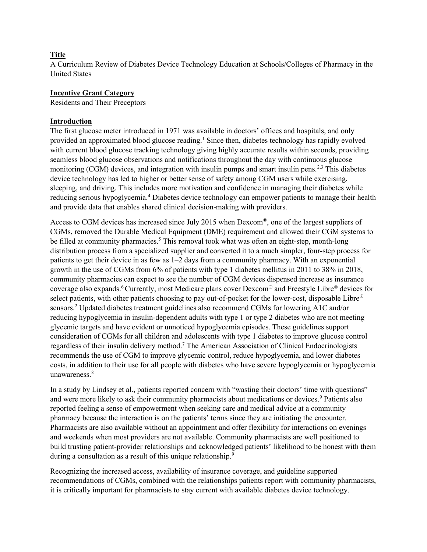### **Title**

A Curriculum Review of Diabetes Device Technology Education at Schools/Colleges of Pharmacy in the United States

### Incentive Grant Category

Residents and Their Preceptors

### Introduction

The first glucose meter introduced in 1971 was available in doctors' offices and hospitals, and only provided an approximated blood glucose reading.<sup>1</sup> Since then, diabetes technology has rapidly evolved with current blood glucose tracking technology giving highly accurate results within seconds, providing seamless blood glucose observations and notifications throughout the day with continuous glucose monitoring (CGM) devices, and integration with insulin pumps and smart insulin pens.<sup>2,3</sup> This diabetes device technology has led to higher or better sense of safety among CGM users while exercising, sleeping, and driving. This includes more motivation and confidence in managing their diabetes while reducing serious hypoglycemia.<sup>4</sup> Diabetes device technology can empower patients to manage their health and provide data that enables shared clinical decision-making with providers.

Access to CGM devices has increased since July 2015 when Dexcom® , one of the largest suppliers of CGMs, removed the Durable Medical Equipment (DME) requirement and allowed their CGM systems to be filled at community pharmacies.<sup>5</sup> This removal took what was often an eight-step, month-long distribution process from a specialized supplier and converted it to a much simpler, four-step process for patients to get their device in as few as 1–2 days from a community pharmacy. With an exponential growth in the use of CGMs from 6% of patients with type 1 diabetes mellitus in 2011 to 38% in 2018, community pharmacies can expect to see the number of CGM devices dispensed increase as insurance coverage also expands. <sup>6</sup> Currently, most Medicare plans cover Dexcom® and Freestyle Libre® devices for select patients, with other patients choosing to pay out-of-pocket for the lower-cost, disposable Libre® sensors.<sup>2</sup> Updated diabetes treatment guidelines also recommend CGMs for lowering A1C and/or reducing hypoglycemia in insulin-dependent adults with type 1 or type 2 diabetes who are not meeting glycemic targets and have evident or unnoticed hypoglycemia episodes. These guidelines support consideration of CGMs for all children and adolescents with type 1 diabetes to improve glucose control regardless of their insulin delivery method.<sup>7</sup> The American Association of Clinical Endocrinologists recommends the use of CGM to improve glycemic control, reduce hypoglycemia, and lower diabetes costs, in addition to their use for all people with diabetes who have severe hypoglycemia or hypoglycemia unawareness.<sup>8</sup>

In a study by Lindsey et al., patients reported concern with "wasting their doctors' time with questions" and were more likely to ask their community pharmacists about medications or devices.<sup>9</sup> Patients also reported feeling a sense of empowerment when seeking care and medical advice at a community pharmacy because the interaction is on the patients' terms since they are initiating the encounter. Pharmacists are also available without an appointment and offer flexibility for interactions on evenings and weekends when most providers are not available. Community pharmacists are well positioned to build trusting patient-provider relationships and acknowledged patients' likelihood to be honest with them during a consultation as a result of this unique relationship.<sup>9</sup>

Recognizing the increased access, availability of insurance coverage, and guideline supported recommendations of CGMs, combined with the relationships patients report with community pharmacists, it is critically important for pharmacists to stay current with available diabetes device technology.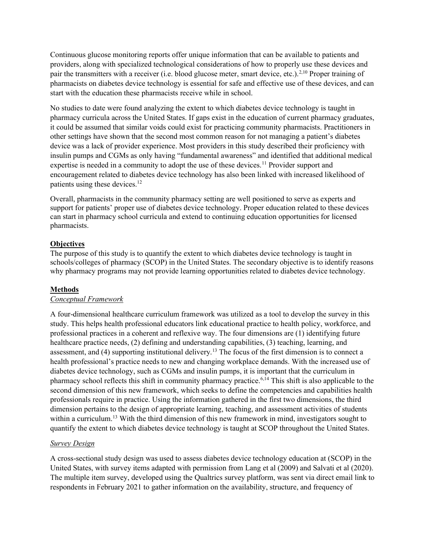Continuous glucose monitoring reports offer unique information that can be available to patients and providers, along with specialized technological considerations of how to properly use these devices and pair the transmitters with a receiver (i.e. blood glucose meter, smart device, etc.).<sup>2,10</sup> Proper training of pharmacists on diabetes device technology is essential for safe and effective use of these devices, and can start with the education these pharmacists receive while in school.

No studies to date were found analyzing the extent to which diabetes device technology is taught in pharmacy curricula across the United States. If gaps exist in the education of current pharmacy graduates, it could be assumed that similar voids could exist for practicing community pharmacists. Practitioners in other settings have shown that the second most common reason for not managing a patient's diabetes device was a lack of provider experience. Most providers in this study described their proficiency with insulin pumps and CGMs as only having "fundamental awareness" and identified that additional medical expertise is needed in a community to adopt the use of these devices.<sup>11</sup> Provider support and encouragement related to diabetes device technology has also been linked with increased likelihood of patients using these devices.<sup>12</sup>

Overall, pharmacists in the community pharmacy setting are well positioned to serve as experts and support for patients' proper use of diabetes device technology. Proper education related to these devices can start in pharmacy school curricula and extend to continuing education opportunities for licensed pharmacists.

### **Objectives**

The purpose of this study is to quantify the extent to which diabetes device technology is taught in schools/colleges of pharmacy (SCOP) in the United States. The secondary objective is to identify reasons why pharmacy programs may not provide learning opportunities related to diabetes device technology.

#### Methods

#### Conceptual Framework

A four-dimensional healthcare curriculum framework was utilized as a tool to develop the survey in this study. This helps health professional educators link educational practice to health policy, workforce, and professional practices in a coherent and reflexive way. The four dimensions are (1) identifying future healthcare practice needs, (2) defining and understanding capabilities, (3) teaching, learning, and assessment, and (4) supporting institutional delivery.<sup>13</sup> The focus of the first dimension is to connect a health professional's practice needs to new and changing workplace demands. With the increased use of diabetes device technology, such as CGMs and insulin pumps, it is important that the curriculum in pharmacy school reflects this shift in community pharmacy practice.6,14 This shift is also applicable to the second dimension of this new framework, which seeks to define the competencies and capabilities health professionals require in practice. Using the information gathered in the first two dimensions, the third dimension pertains to the design of appropriate learning, teaching, and assessment activities of students within a curriculum.<sup>13</sup> With the third dimension of this new framework in mind, investigators sought to quantify the extent to which diabetes device technology is taught at SCOP throughout the United States.

#### Survey Design

A cross-sectional study design was used to assess diabetes device technology education at (SCOP) in the United States, with survey items adapted with permission from Lang et al (2009) and Salvati et al (2020). The multiple item survey, developed using the Qualtrics survey platform, was sent via direct email link to respondents in February 2021 to gather information on the availability, structure, and frequency of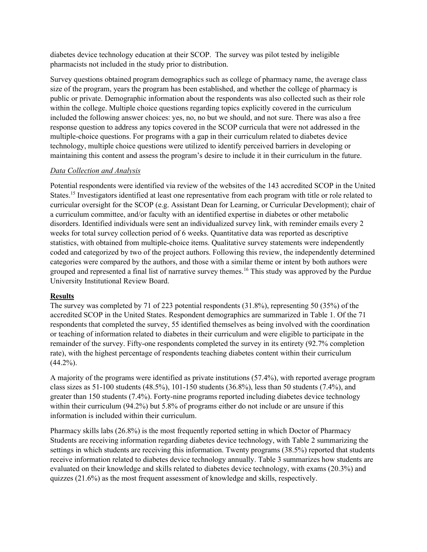diabetes device technology education at their SCOP. The survey was pilot tested by ineligible pharmacists not included in the study prior to distribution.

Survey questions obtained program demographics such as college of pharmacy name, the average class size of the program, years the program has been established, and whether the college of pharmacy is public or private. Demographic information about the respondents was also collected such as their role within the college. Multiple choice questions regarding topics explicitly covered in the curriculum included the following answer choices: yes, no, no but we should, and not sure. There was also a free response question to address any topics covered in the SCOP curricula that were not addressed in the multiple-choice questions. For programs with a gap in their curriculum related to diabetes device technology, multiple choice questions were utilized to identify perceived barriers in developing or maintaining this content and assess the program's desire to include it in their curriculum in the future.

### Data Collection and Analysis

Potential respondents were identified via review of the websites of the 143 accredited SCOP in the United States.<sup>15</sup> Investigators identified at least one representative from each program with title or role related to curricular oversight for the SCOP (e.g. Assistant Dean for Learning, or Curricular Development); chair of a curriculum committee, and/or faculty with an identified expertise in diabetes or other metabolic disorders. Identified individuals were sent an individualized survey link, with reminder emails every 2 weeks for total survey collection period of 6 weeks. Quantitative data was reported as descriptive statistics, with obtained from multiple-choice items. Qualitative survey statements were independently coded and categorized by two of the project authors. Following this review, the independently determined categories were compared by the authors, and those with a similar theme or intent by both authors were grouped and represented a final list of narrative survey themes.<sup>16</sup> This study was approved by the Purdue University Institutional Review Board.

#### Results

The survey was completed by 71 of 223 potential respondents (31.8%), representing 50 (35%) of the accredited SCOP in the United States. Respondent demographics are summarized in Table 1. Of the 71 respondents that completed the survey, 55 identified themselves as being involved with the coordination or teaching of information related to diabetes in their curriculum and were eligible to participate in the remainder of the survey. Fifty-one respondents completed the survey in its entirety (92.7% completion rate), with the highest percentage of respondents teaching diabetes content within their curriculum  $(44.2\%)$ .

A majority of the programs were identified as private institutions (57.4%), with reported average program class sizes as 51-100 students (48.5%), 101-150 students (36.8%), less than 50 students (7.4%), and greater than 150 students (7.4%). Forty-nine programs reported including diabetes device technology within their curriculum (94.2%) but 5.8% of programs either do not include or are unsure if this information is included within their curriculum.

Pharmacy skills labs (26.8%) is the most frequently reported setting in which Doctor of Pharmacy Students are receiving information regarding diabetes device technology, with Table 2 summarizing the settings in which students are receiving this information. Twenty programs (38.5%) reported that students receive information related to diabetes device technology annually. Table 3 summarizes how students are evaluated on their knowledge and skills related to diabetes device technology, with exams (20.3%) and quizzes (21.6%) as the most frequent assessment of knowledge and skills, respectively.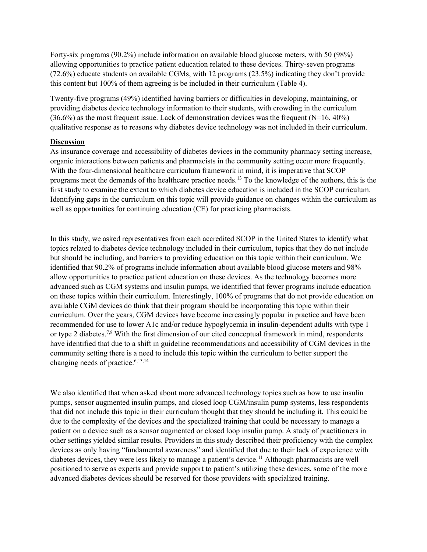Forty-six programs (90.2%) include information on available blood glucose meters, with 50 (98%) allowing opportunities to practice patient education related to these devices. Thirty-seven programs (72.6%) educate students on available CGMs, with 12 programs (23.5%) indicating they don't provide this content but 100% of them agreeing is be included in their curriculum (Table 4).

Twenty-five programs (49%) identified having barriers or difficulties in developing, maintaining, or providing diabetes device technology information to their students, with crowding in the curriculum  $(36.6%)$  as the most frequent issue. Lack of demonstration devices was the frequent (N=16, 40%) qualitative response as to reasons why diabetes device technology was not included in their curriculum.

# **Discussion**

As insurance coverage and accessibility of diabetes devices in the community pharmacy setting increase, organic interactions between patients and pharmacists in the community setting occur more frequently. With the four-dimensional healthcare curriculum framework in mind, it is imperative that SCOP programs meet the demands of the healthcare practice needs.<sup>13</sup> To the knowledge of the authors, this is the first study to examine the extent to which diabetes device education is included in the SCOP curriculum. Identifying gaps in the curriculum on this topic will provide guidance on changes within the curriculum as well as opportunities for continuing education (CE) for practicing pharmacists.

In this study, we asked representatives from each accredited SCOP in the United States to identify what topics related to diabetes device technology included in their curriculum, topics that they do not include but should be including, and barriers to providing education on this topic within their curriculum. We identified that 90.2% of programs include information about available blood glucose meters and 98% allow opportunities to practice patient education on these devices. As the technology becomes more advanced such as CGM systems and insulin pumps, we identified that fewer programs include education on these topics within their curriculum. Interestingly, 100% of programs that do not provide education on available CGM devices do think that their program should be incorporating this topic within their curriculum. Over the years, CGM devices have become increasingly popular in practice and have been recommended for use to lower A1c and/or reduce hypoglycemia in insulin-dependent adults with type 1 or type 2 diabetes.7,8 With the first dimension of our cited conceptual framework in mind, respondents have identified that due to a shift in guideline recommendations and accessibility of CGM devices in the community setting there is a need to include this topic within the curriculum to better support the changing needs of practice.<sup>6,13,14</sup>

We also identified that when asked about more advanced technology topics such as how to use insulin pumps, sensor augmented insulin pumps, and closed loop CGM/insulin pump systems, less respondents that did not include this topic in their curriculum thought that they should be including it. This could be due to the complexity of the devices and the specialized training that could be necessary to manage a patient on a device such as a sensor augmented or closed loop insulin pump. A study of practitioners in other settings yielded similar results. Providers in this study described their proficiency with the complex devices as only having "fundamental awareness" and identified that due to their lack of experience with diabetes devices, they were less likely to manage a patient's device.<sup>11</sup> Although pharmacists are well positioned to serve as experts and provide support to patient's utilizing these devices, some of the more advanced diabetes devices should be reserved for those providers with specialized training.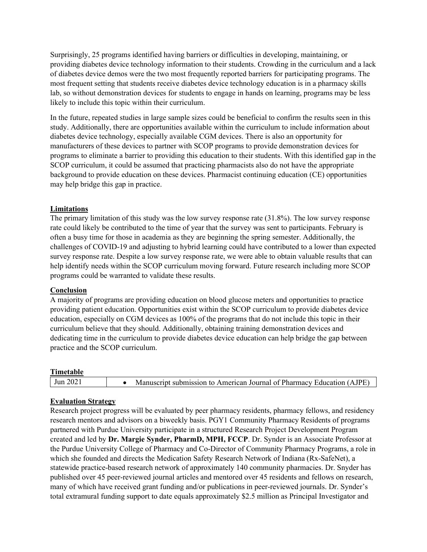Surprisingly, 25 programs identified having barriers or difficulties in developing, maintaining, or providing diabetes device technology information to their students. Crowding in the curriculum and a lack of diabetes device demos were the two most frequently reported barriers for participating programs. The most frequent setting that students receive diabetes device technology education is in a pharmacy skills lab, so without demonstration devices for students to engage in hands on learning, programs may be less likely to include this topic within their curriculum.

In the future, repeated studies in large sample sizes could be beneficial to confirm the results seen in this study. Additionally, there are opportunities available within the curriculum to include information about diabetes device technology, especially available CGM devices. There is also an opportunity for manufacturers of these devices to partner with SCOP programs to provide demonstration devices for programs to eliminate a barrier to providing this education to their students. With this identified gap in the SCOP curriculum, it could be assumed that practicing pharmacists also do not have the appropriate background to provide education on these devices. Pharmacist continuing education (CE) opportunities may help bridge this gap in practice.

### Limitations

The primary limitation of this study was the low survey response rate (31.8%). The low survey response rate could likely be contributed to the time of year that the survey was sent to participants. February is often a busy time for those in academia as they are beginning the spring semester. Additionally, the challenges of COVID-19 and adjusting to hybrid learning could have contributed to a lower than expected survey response rate. Despite a low survey response rate, we were able to obtain valuable results that can help identify needs within the SCOP curriculum moving forward. Future research including more SCOP programs could be warranted to validate these results.

#### Conclusion

A majority of programs are providing education on blood glucose meters and opportunities to practice providing patient education. Opportunities exist within the SCOP curriculum to provide diabetes device education, especially on CGM devices as 100% of the programs that do not include this topic in their curriculum believe that they should. Additionally, obtaining training demonstration devices and dedicating time in the curriculum to provide diabetes device education can help bridge the gap between practice and the SCOP curriculum.

| Timetable |                                                                        |
|-----------|------------------------------------------------------------------------|
| Jun 2021  | Manuscript submission to American Journal of Pharmacy Education (AJPE) |

#### Evaluation Strategy

Research project progress will be evaluated by peer pharmacy residents, pharmacy fellows, and residency research mentors and advisors on a biweekly basis. PGY1 Community Pharmacy Residents of programs partnered with Purdue University participate in a structured Research Project Development Program created and led by Dr. Margie Synder, PharmD, MPH, FCCP. Dr. Synder is an Associate Professor at the Purdue University College of Pharmacy and Co-Director of Community Pharmacy Programs, a role in which she founded and directs the Medication Safety Research Network of Indiana (Rx-SafeNet), a statewide practice-based research network of approximately 140 community pharmacies. Dr. Snyder has published over 45 peer-reviewed journal articles and mentored over 45 residents and fellows on research, many of which have received grant funding and/or publications in peer-reviewed journals. Dr. Synder's total extramural funding support to date equals approximately \$2.5 million as Principal Investigator and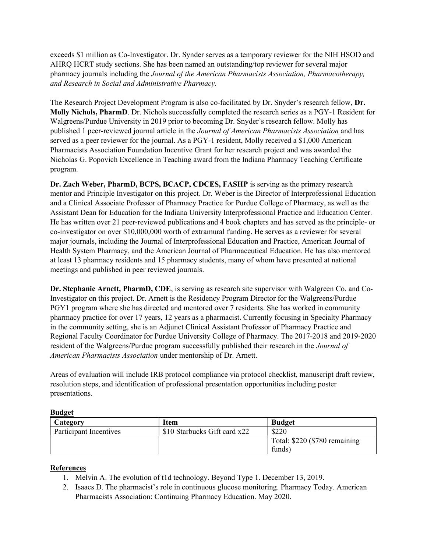exceeds \$1 million as Co-Investigator. Dr. Synder serves as a temporary reviewer for the NIH HSOD and AHRQ HCRT study sections. She has been named an outstanding/top reviewer for several major pharmacy journals including the Journal of the American Pharmacists Association, Pharmacotherapy, and Research in Social and Administrative Pharmacy.

The Research Project Development Program is also co-facilitated by Dr. Snyder's research fellow, Dr. Molly Nichols, PharmD. Dr. Nichols successfully completed the research series as a PGY-1 Resident for Walgreens/Purdue University in 2019 prior to becoming Dr. Snyder's research fellow. Molly has published 1 peer-reviewed journal article in the Journal of American Pharmacists Association and has served as a peer reviewer for the journal. As a PGY-1 resident, Molly received a \$1,000 American Pharmacists Association Foundation Incentive Grant for her research project and was awarded the Nicholas G. Popovich Excellence in Teaching award from the Indiana Pharmacy Teaching Certificate program.

Dr. Zach Weber, PharmD, BCPS, BCACP, CDCES, FASHP is serving as the primary research mentor and Principle Investigator on this project. Dr. Weber is the Director of Interprofessional Education and a Clinical Associate Professor of Pharmacy Practice for Purdue College of Pharmacy, as well as the Assistant Dean for Education for the Indiana University Interprofessional Practice and Education Center. He has written over 21 peer-reviewed publications and 4 book chapters and has served as the principle- or co-investigator on over \$10,000,000 worth of extramural funding. He serves as a reviewer for several major journals, including the Journal of Interprofessional Education and Practice, American Journal of Health System Pharmacy, and the American Journal of Pharmaceutical Education. He has also mentored at least 13 pharmacy residents and 15 pharmacy students, many of whom have presented at national meetings and published in peer reviewed journals.

Dr. Stephanie Arnett, PharmD, CDE, is serving as research site supervisor with Walgreen Co. and Co-Investigator on this project. Dr. Arnett is the Residency Program Director for the Walgreens/Purdue PGY1 program where she has directed and mentored over 7 residents. She has worked in community pharmacy practice for over 17 years, 12 years as a pharmacist. Currently focusing in Specialty Pharmacy in the community setting, she is an Adjunct Clinical Assistant Professor of Pharmacy Practice and Regional Faculty Coordinator for Purdue University College of Pharmacy. The 2017-2018 and 2019-2020 resident of the Walgreens/Purdue program successfully published their research in the Journal of American Pharmacists Association under mentorship of Dr. Arnett.

Areas of evaluation will include IRB protocol compliance via protocol checklist, manuscript draft review, resolution steps, and identification of professional presentation opportunities including poster presentations.

#### **Budget**

| Category               | <b>Item</b>                  | <b>Budget</b>                 |
|------------------------|------------------------------|-------------------------------|
| Participant Incentives | \$10 Starbucks Gift card x22 | \$220                         |
|                        |                              | Total: \$220 (\$780 remaining |
|                        |                              | funds)                        |

## References

- 1. Melvin A. The evolution of t1d technology. Beyond Type 1. December 13, 2019.
- 2. Isaacs D. The pharmacist's role in continuous glucose monitoring. Pharmacy Today. American Pharmacists Association: Continuing Pharmacy Education. May 2020.